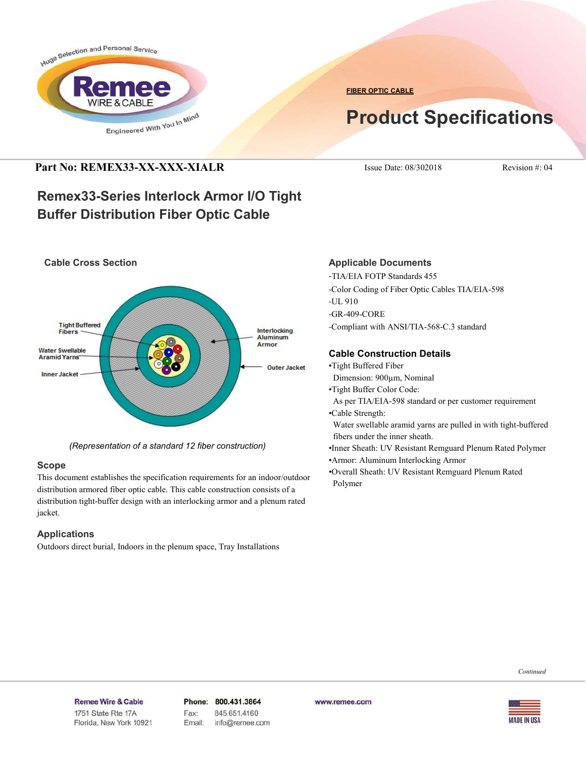

**FIBER OPTIC CABLE**

# **Product Specifications**

### **Part No: REMEX33-XX-XXX-XIALR** Issue Date: 08/302018 Revision #: 04

## **Remex33-Series Interlock Armor I/O Tight Buffer Distribution Fiber Optic Cable**



*(Representation of a standard 12 fiber construction)*

#### **Scope**

This document establishes the specification requirements for an indoor/outdoor distribution armored fiber optic cable. This cable construction consists of a distribution tight-buffer design with an interlocking armor and a plenum rated jacket.

#### **Applications**

Outdoors direct burial, Indoors in the plenum space, Tray Installations

#### **Applicable Documents**

-TIA/EIA FOTP Standards 455 -Color Coding of Fiber Optic Cables TIA/EIA-598 -UL 910 -GR-409-CORE -Compliant with ANSI/TIA-568-C.3 standard

#### **Cable Construction Details**

- •Tight Buffered Fiber
- Dimension: 900µm, Nominal
- •Tight Buffer Color Code:
- As per TIA/EIA-598 standard or per customer requirement •Cable Strength:

 Water swellable aramid yarns are pulled in with tight-buffered fibers under the inner sheath.

•Inner Sheath: UV Resistant Remguard Plenum Rated Polymer •Armor: Aluminum Interlocking Armor

•Overall Sheath: UV Resistant Remguard Plenum Rated Polymer

*Continued*

#### Remee Wire & Cable Issue No.: 05

Florida, New York 10921

Phone: 800.431.3864 Fax: 845.651.4160 Email: info@remee.com www.remee.com

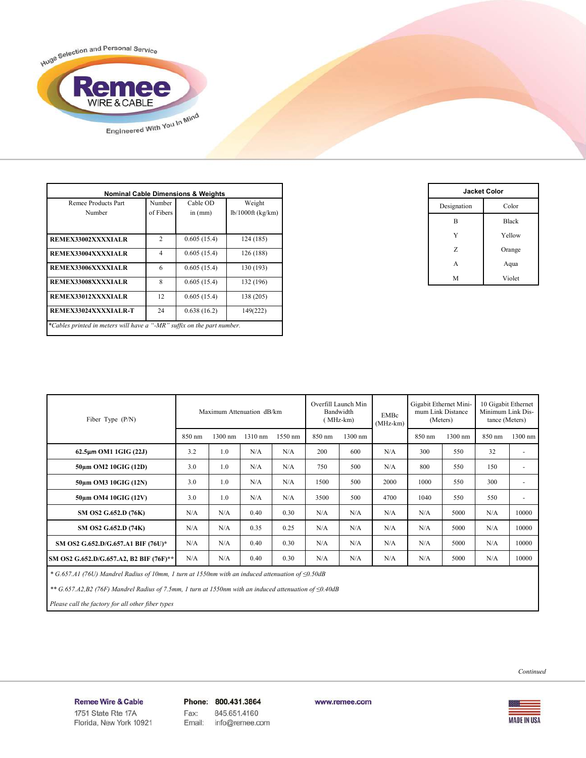

| <b>Nominal Cable Dimensions &amp; Weights</b>                          |                     |                       |                               |  |  |
|------------------------------------------------------------------------|---------------------|-----------------------|-------------------------------|--|--|
| Remee Products Part<br>Number                                          | Number<br>of Fibers | Cable OD<br>in $(mm)$ | Weight<br>$lb/1000ft$ (kg/km) |  |  |
|                                                                        |                     |                       |                               |  |  |
| <b>REMEX33002XXXXIALR</b>                                              | $\overline{2}$      | 0.605(15.4)           | 124 (185)                     |  |  |
| REMEX33004XXXXIALR                                                     | $\overline{4}$      | 0.605(15.4)           | 126 (188)                     |  |  |
| REMEX33006XXXXIALR                                                     | 6                   | 0.605(15.4)           | 130 (193)                     |  |  |
| REMEX33008XXXXIALR                                                     | 8                   | 0.605(15.4)           | 132 (196)                     |  |  |
| REMEX33012XXXXIALR                                                     | 12                  | 0.605(15.4)           | 138 (205)                     |  |  |
| REMEX33024XXXXIALR-T                                                   | 24                  | 0.638(16.2)           | 149(222)                      |  |  |
| *Cables printed in meters will have a "-MR" suffix on the part number. |                     |                       |                               |  |  |

| <b>Jacket Color</b> |              |  |
|---------------------|--------------|--|
| Designation         | Color        |  |
| B                   | <b>Black</b> |  |
| Y                   | Yellow       |  |
| Z                   | Orange       |  |
| А                   | Aqua         |  |
| M                   | Violet       |  |

| Fiber Type $(P/N)$                      | Maximum Attenuation dB/km |         | Overfill Launch Min<br>Bandwidth<br>MHz-km) |         | EMBc<br>$(MHz-km)$ | Gigabit Ethernet Mini-<br>mum Link Distance<br>(Meters) |      | 10 Gigabit Ethernet<br>Minimum Link Dis-<br>tance (Meters) |         |        |                          |
|-----------------------------------------|---------------------------|---------|---------------------------------------------|---------|--------------------|---------------------------------------------------------|------|------------------------------------------------------------|---------|--------|--------------------------|
|                                         | 850 nm                    | 1300 nm | 1310 nm                                     | 1550 nm | 850 nm             | 1300 nm                                                 |      | 850 nm                                                     | 1300 nm | 850 nm | 1300 nm                  |
| 62.5um OM1 1GIG (22J)                   | 3.2                       | 1.0     | N/A                                         | N/A     | 200                | 600                                                     | N/A  | 300                                                        | 550     | 32     | ٠                        |
| 50um OM2 10GIG (12D)                    | 3.0                       | 1.0     | N/A                                         | N/A     | 750                | 500                                                     | N/A  | 800                                                        | 550     | 150    | $\overline{\phantom{a}}$ |
| 50um OM3 10GIG (12N)                    | 3.0                       | 1.0     | N/A                                         | N/A     | 1500               | 500                                                     | 2000 | 1000                                                       | 550     | 300    | $\overline{\phantom{a}}$ |
| 50um OM4 10GIG (12V)                    | 3.0                       | 1.0     | N/A                                         | N/A     | 3500               | 500                                                     | 4700 | 1040                                                       | 550     | 550    | $\overline{\phantom{a}}$ |
| SM OS2 G.652.D (76K)                    | N/A                       | N/A     | 0.40                                        | 0.30    | N/A                | N/A                                                     | N/A  | N/A                                                        | 5000    | N/A    | 10000                    |
| SM OS2 G.652.D (74K)                    | N/A                       | N/A     | 0.35                                        | 0.25    | N/A                | N/A                                                     | N/A  | N/A                                                        | 5000    | N/A    | 10000                    |
| SM OS2 G.652.D/G.657.A1 BIF (76U)*      | N/A                       | N/A     | 0.40                                        | 0.30    | N/A                | N/A                                                     | N/A  | N/A                                                        | 5000    | N/A    | 10000                    |
| SM OS2 G.652.D/G.657.A2, B2 BIF (76F)** | N/A                       | N/A     | 0.40                                        | 0.30    | N/A                | N/A                                                     | N/A  | N/A                                                        | 5000    | N/A    | 10000                    |

 *\* G.657.A1 (76U) Mandrel Radius of 10mm, 1 turn at 1550nm with an induced attenuation of ≤0.50dB*

 *\*\* G.657.A2,B2 (76F) Mandrel Radius of 7.5mm, 1 turn at 1550nm with an induced attenuation of ≤0.40dB*

 *Please call the factory for all other fiber types*



**MADE IN USA** 

Remee Wire & Cable Issue No.: 05

Florida, New York 10921

Phone: 800.431.3864 Fax: 845.651.4160 info@remee.com Email:

www.remee.com